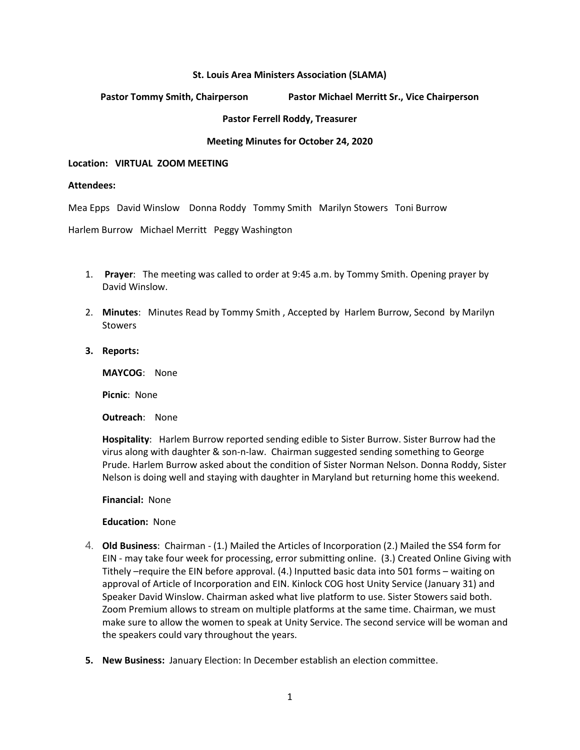## **St. Louis Area Ministers Association (SLAMA)**

# **Pastor Tommy Smith, Chairperson Pastor Michael Merritt Sr., Vice Chairperson**

## **Pastor Ferrell Roddy, Treasurer**

## **Meeting Minutes for October 24, 2020**

### **Location: VIRTUAL ZOOM MEETING**

## **Attendees:**

Mea Epps David Winslow Donna Roddy Tommy Smith Marilyn Stowers Toni Burrow

Harlem Burrow Michael Merritt Peggy Washington

- 1. **Prayer**: The meeting was called to order at 9:45 a.m. by Tommy Smith. Opening prayer by David Winslow.
- 2. **Minutes**: Minutes Read by Tommy Smith , Accepted by Harlem Burrow, Second by Marilyn **Stowers**
- **3. Reports:**

**MAYCOG**: None

**Picnic**: None

**Outreach**: None

**Hospitality**: Harlem Burrow reported sending edible to Sister Burrow. Sister Burrow had the virus along with daughter & son-n-law. Chairman suggested sending something to George Prude. Harlem Burrow asked about the condition of Sister Norman Nelson. Donna Roddy, Sister Nelson is doing well and staying with daughter in Maryland but returning home this weekend.

**Financial:** None

### **Education:** None

- 4. **Old Business**: Chairman (1.) Mailed the Articles of Incorporation (2.) Mailed the SS4 form for EIN - may take four week for processing, error submitting online. (3.) Created Online Giving with Tithely –require the EIN before approval. (4.) Inputted basic data into 501 forms – waiting on approval of Article of Incorporation and EIN. Kinlock COG host Unity Service (January 31) and Speaker David Winslow. Chairman asked what live platform to use. Sister Stowers said both. Zoom Premium allows to stream on multiple platforms at the same time. Chairman, we must make sure to allow the women to speak at Unity Service. The second service will be woman and the speakers could vary throughout the years.
- **5. New Business:** January Election: In December establish an election committee.